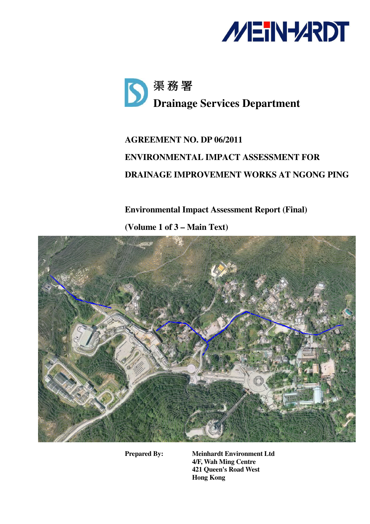



# **AGREEMENT NO. DP 06/2011 ENVIRONMENTAL IMPACT ASSESSMENT FOR DRAINAGE IMPROVEMENT WORKS AT NGONG PING**

**Environmental Impact Assessment Report (Final)** 

**(Volume 1 of 3 – Main Text)** 



**Prepared By: Meinhardt Environment Ltd 4/F, Wah Ming Centre 421 Queen's Road West Hong Kong**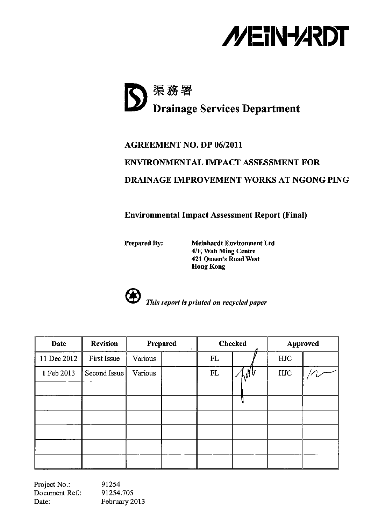



# **AGREEMENT NO. DP 06/2011 ENVIRONMENTAL IMPACT ASSESSMENT FOR DRAINAGE IMPROVEMENT WORKS AT NGONG PING**

**Environmental Impact Assessment Report (Final)** 

Prepared By:

**Meinhardt Environment Ltd** 4/F, Wah Ming Centre 421 Queen's Road West **Hong Kong** 



This report is printed on recycled paper

| <b>Date</b> | <b>Revision</b> |         | Prepared |     | <b>Checked</b> |            | Approved |
|-------------|-----------------|---------|----------|-----|----------------|------------|----------|
| 11 Dec 2012 | First Issue     | Various |          | FL. |                | <b>HJC</b> |          |
| 1 Feb 2013  | Second Issue    | Various |          | FL  | ۰M             | <b>HJC</b> |          |
|             |                 |         |          |     |                |            |          |
|             |                 |         |          |     |                |            |          |
|             |                 |         |          |     |                |            |          |
|             |                 |         |          |     |                |            |          |
|             |                 |         |          |     |                |            |          |
|             |                 |         |          |     |                |            |          |

Project No.:<br>Document Ref.: 91254 91254.705 Date: February 2013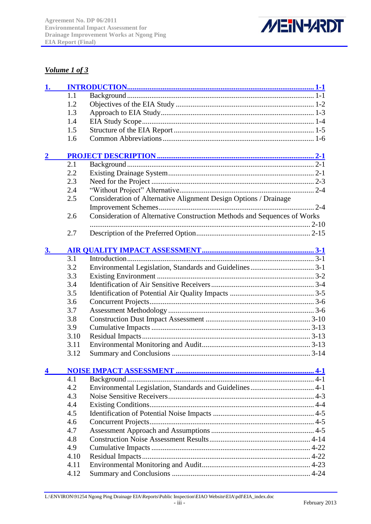

### *Volume 1 of 3*

| 1. |      |                                                                          |  |
|----|------|--------------------------------------------------------------------------|--|
|    | 1.1  |                                                                          |  |
|    | 1.2  |                                                                          |  |
|    | 1.3  |                                                                          |  |
|    | 1.4  |                                                                          |  |
|    | 1.5  |                                                                          |  |
|    | 1.6  |                                                                          |  |
|    |      |                                                                          |  |
|    | 2.1  |                                                                          |  |
|    | 2.2  |                                                                          |  |
|    | 2.3  |                                                                          |  |
|    | 2.4  |                                                                          |  |
|    | 2.5  | Consideration of Alternative Alignment Design Options / Drainage         |  |
|    |      |                                                                          |  |
|    | 2.6  | Consideration of Alternative Construction Methods and Sequences of Works |  |
|    |      |                                                                          |  |
|    | 2.7  |                                                                          |  |
|    |      |                                                                          |  |
|    |      |                                                                          |  |
|    | 3.1  |                                                                          |  |
|    | 3.2  |                                                                          |  |
|    | 3.3  |                                                                          |  |
|    | 3.4  |                                                                          |  |
|    | 3.5  |                                                                          |  |
|    | 3.6  |                                                                          |  |
|    | 3.7  |                                                                          |  |
|    | 3.8  |                                                                          |  |
|    | 3.9  |                                                                          |  |
|    | 3.10 |                                                                          |  |
|    | 3.11 |                                                                          |  |
|    | 3.12 |                                                                          |  |
|    |      |                                                                          |  |
|    | 4.1  |                                                                          |  |
|    | 4.2  |                                                                          |  |
|    | 4.3  |                                                                          |  |
|    | 4.4  |                                                                          |  |
|    | 4.5  |                                                                          |  |
|    | 4.6  |                                                                          |  |
|    | 4.7  |                                                                          |  |
|    | 4.8  |                                                                          |  |
|    | 4.9  |                                                                          |  |
|    | 4.10 |                                                                          |  |
|    | 4.11 |                                                                          |  |
|    | 4.12 |                                                                          |  |
|    |      |                                                                          |  |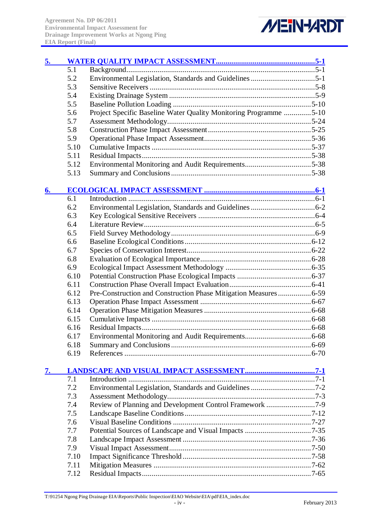

| 5. |      |                                                                   |  |
|----|------|-------------------------------------------------------------------|--|
|    | 5.1  |                                                                   |  |
|    | 5.2  |                                                                   |  |
|    | 5.3  |                                                                   |  |
|    | 5.4  |                                                                   |  |
|    | 5.5  |                                                                   |  |
|    | 5.6  | Project Specific Baseline Water Quality Monitoring Programme 5-10 |  |
|    | 5.7  |                                                                   |  |
|    | 5.8  |                                                                   |  |
|    | 5.9  |                                                                   |  |
|    | 5.10 |                                                                   |  |
|    | 5.11 |                                                                   |  |
|    | 5.12 |                                                                   |  |
|    | 5.13 |                                                                   |  |
| 6. |      |                                                                   |  |
|    | 6.1  |                                                                   |  |
|    | 6.2  |                                                                   |  |
|    | 6.3  |                                                                   |  |
|    | 6.4  |                                                                   |  |
|    | 6.5  |                                                                   |  |
|    | 6.6  |                                                                   |  |
|    | 6.7  |                                                                   |  |
|    | 6.8  |                                                                   |  |
|    | 6.9  |                                                                   |  |
|    | 6.10 |                                                                   |  |
|    | 6.11 |                                                                   |  |
|    | 6.12 |                                                                   |  |
|    |      | Pre-Construction and Construction Phase Mitigation Measures 6-59  |  |
|    | 6.13 |                                                                   |  |
|    | 6.14 |                                                                   |  |
|    | 6.15 |                                                                   |  |
|    | 6.16 |                                                                   |  |
|    | 6.17 |                                                                   |  |
|    | 6.18 |                                                                   |  |
|    | 6.19 |                                                                   |  |
| 7. |      |                                                                   |  |
|    | 7.1  |                                                                   |  |
|    | 7.2  |                                                                   |  |
|    | 7.3  |                                                                   |  |
|    | 7.4  | Review of Planning and Development Control Framework 7-9          |  |
|    | 7.5  |                                                                   |  |
|    | 7.6  |                                                                   |  |
|    | 7.7  |                                                                   |  |
|    | 7.8  |                                                                   |  |
|    | 7.9  |                                                                   |  |
|    | 7.10 |                                                                   |  |
|    | 7.11 |                                                                   |  |
|    | 7.12 |                                                                   |  |

T:\91254 Ngong Ping Drainage EIA\Reports\Public Inspection\EIAO Website\EIA\pdf\EIA\_index.doc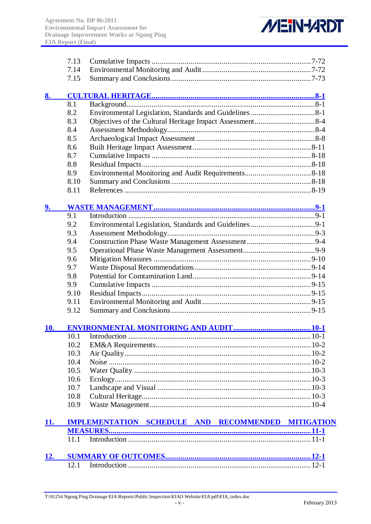

|            | 7.13 |                                                    |  |
|------------|------|----------------------------------------------------|--|
|            | 7.14 |                                                    |  |
|            | 7.15 |                                                    |  |
| 8.         |      |                                                    |  |
|            | 8.1  |                                                    |  |
|            | 8.2  |                                                    |  |
|            | 8.3  |                                                    |  |
|            | 8.4  |                                                    |  |
|            | 8.5  |                                                    |  |
|            | 8.6  |                                                    |  |
|            | 8.7  |                                                    |  |
|            | 8.8  |                                                    |  |
|            | 8.9  |                                                    |  |
|            | 8.10 |                                                    |  |
|            | 8.11 |                                                    |  |
|            |      |                                                    |  |
| 9.         |      |                                                    |  |
|            | 9.1  |                                                    |  |
|            | 9.2  |                                                    |  |
|            | 9.3  |                                                    |  |
|            | 9.4  |                                                    |  |
|            | 9.5  |                                                    |  |
|            | 9.6  |                                                    |  |
|            | 9.7  |                                                    |  |
|            | 9.8  |                                                    |  |
|            | 9.9  |                                                    |  |
|            | 9.10 |                                                    |  |
|            | 9.11 |                                                    |  |
|            | 9.12 |                                                    |  |
|            |      |                                                    |  |
| 10.        | 10.1 |                                                    |  |
|            | 10.2 |                                                    |  |
|            | 10.3 |                                                    |  |
|            | 10.4 |                                                    |  |
|            | 10.5 |                                                    |  |
|            | 10.6 |                                                    |  |
|            | 10.7 |                                                    |  |
|            | 10.8 |                                                    |  |
|            |      |                                                    |  |
|            | 10.9 |                                                    |  |
| 11.        |      | IMPLEMENTATION SCHEDULE AND RECOMMENDED MITIGATION |  |
|            |      |                                                    |  |
|            | 11.1 |                                                    |  |
| <b>12.</b> |      |                                                    |  |
|            |      |                                                    |  |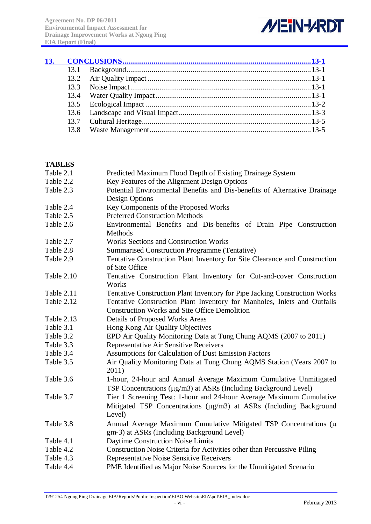

| 13. |  |  |
|-----|--|--|
|     |  |  |
|     |  |  |
|     |  |  |
|     |  |  |
|     |  |  |
|     |  |  |
|     |  |  |
|     |  |  |

## **TABLES**

| Table 2.1  | Predicted Maximum Flood Depth of Existing Drainage System                                                                            |
|------------|--------------------------------------------------------------------------------------------------------------------------------------|
| Table 2.2  | Key Features of the Alignment Design Options                                                                                         |
| Table 2.3  | Potential Environmental Benefits and Dis-benefits of Alternative Drainage                                                            |
|            | <b>Design Options</b>                                                                                                                |
| Table 2.4  | Key Components of the Proposed Works                                                                                                 |
| Table 2.5  | <b>Preferred Construction Methods</b>                                                                                                |
| Table 2.6  | Environmental Benefits and Dis-benefits of Drain Pipe Construction<br>Methods                                                        |
| Table 2.7  | <b>Works Sections and Construction Works</b>                                                                                         |
| Table 2.8  | <b>Summarised Construction Programme (Tentative)</b>                                                                                 |
| Table 2.9  | Tentative Construction Plant Inventory for Site Clearance and Construction<br>of Site Office                                         |
| Table 2.10 | Tentative Construction Plant Inventory for Cut-and-cover Construction<br>Works                                                       |
| Table 2.11 | Tentative Construction Plant Inventory for Pipe Jacking Construction Works                                                           |
| Table 2.12 | Tentative Construction Plant Inventory for Manholes, Inlets and Outfalls                                                             |
|            | <b>Construction Works and Site Office Demolition</b>                                                                                 |
| Table 2.13 | <b>Details of Proposed Works Areas</b>                                                                                               |
| Table 3.1  | Hong Kong Air Quality Objectives                                                                                                     |
| Table 3.2  | EPD Air Quality Monitoring Data at Tung Chung AQMS (2007 to 2011)                                                                    |
| Table 3.3  | Representative Air Sensitive Receivers                                                                                               |
| Table 3.4  | Assumptions for Calculation of Dust Emission Factors                                                                                 |
| Table 3.5  | Air Quality Monitoring Data at Tung Chung AQMS Station (Years 2007 to<br>2011)                                                       |
| Table 3.6  | 1-hour, 24-hour and Annual Average Maximum Cumulative Unmitigated<br>TSP Concentrations (µg/m3) at ASRs (Including Background Level) |
| Table 3.7  | Tier 1 Screening Test: 1-hour and 24-hour Average Maximum Cumulative                                                                 |
|            | Mitigated TSP Concentrations (µg/m3) at ASRs (Including Background<br>Level)                                                         |
| Table 3.8  | Annual Average Maximum Cumulative Mitigated TSP Concentrations (µ<br>gm-3) at ASRs (Including Background Level)                      |
| Table 4.1  | Daytime Construction Noise Limits                                                                                                    |
| Table 4.2  | Construction Noise Criteria for Activities other than Percussive Piling                                                              |
| Table 4.3  | <b>Representative Noise Sensitive Receivers</b>                                                                                      |
| Table 4.4  | PME Identified as Major Noise Sources for the Unmitigated Scenario                                                                   |
|            |                                                                                                                                      |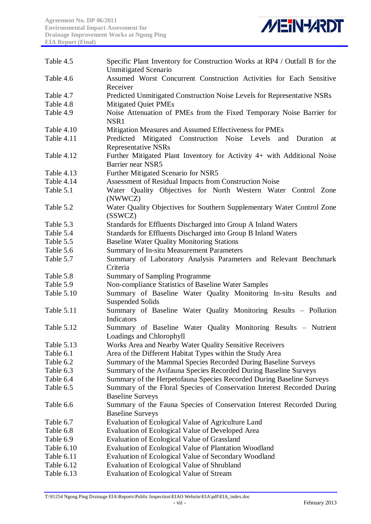

| Assumed Worst Concurrent Construction Activities for Each Sensitive<br>Table 4.6<br>Receiver<br>Predicted Unmitigated Construction Noise Levels for Representative NSRs<br>Table 4.7<br>Table 4.8<br><b>Mitigated Quiet PMEs</b><br>Noise Attenuation of PMEs from the Fixed Temporary Noise Barrier for<br>Table 4.9<br>NSR1<br>Table 4.10<br>Mitigation Measures and Assumed Effectiveness for PMEs<br>Table 4.11<br>Predicted Mitigated Construction Noise Levels<br>and Duration<br>at<br><b>Representative NSRs</b><br>Further Mitigated Plant Inventory for Activity 4+ with Additional Noise<br>Table 4.12<br>Barrier near NSR5<br>Further Mitigated Scenario for NSR5<br>Table 4.13<br>Assessment of Residual Impacts from Construction Noise<br>Table 4.14<br>Water Quality Objectives for North Western Water Control Zone<br>Table 5.1<br>(NWWCZ)<br>Water Quality Objectives for Southern Supplementary Water Control Zone<br>Table 5.2<br>(SSWCZ)<br>Standards for Effluents Discharged into Group A Inland Waters<br>Table 5.3<br>Standards for Effluents Discharged into Group B Inland Waters<br>Table 5.4<br><b>Baseline Water Quality Monitoring Stations</b><br>Table 5.5<br>Summary of In-situ Measurement Parameters<br>Table 5.6<br>Summary of Laboratory Analysis Parameters and Relevant Benchmark<br>Table 5.7<br>Criteria<br><b>Summary of Sampling Programme</b><br>Table 5.8<br>Non-compliance Statistics of Baseline Water Samples<br>Table 5.9<br>Summary of Baseline Water Quality Monitoring In-situ Results and<br>Table 5.10<br><b>Suspended Solids</b><br>Summary of Baseline Water Quality Monitoring Results - Pollution<br>Table 5.11<br>Indicators<br>Summary of Baseline Water Quality Monitoring Results - Nutrient<br>Table 5.12<br>Loadings and Chlorophyll<br>Works Area and Nearby Water Quality Sensitive Receivers<br>Table 5.13<br>Table 6.1<br>Area of the Different Habitat Types within the Study Area<br>Summary of the Mammal Species Recorded During Baseline Surveys<br>Table 6.2<br>Summary of the Avifauna Species Recorded During Baseline Surveys<br>Table 6.3<br>Summary of the Herpetofauna Species Recorded During Baseline Surveys<br>Table 6.4<br>Table 6.5<br>Summary of the Floral Species of Conservation Interest Recorded During<br><b>Baseline Surveys</b><br>Table 6.6<br>Summary of the Fauna Species of Conservation Interest Recorded During<br><b>Baseline Surveys</b><br>Evaluation of Ecological Value of Agriculture Land<br>Table 6.7<br>Evaluation of Ecological Value of Developed Area<br>Table 6.8<br>Table 6.9<br>Evaluation of Ecological Value of Grassland<br>Table 6.10<br>Evaluation of Ecological Value of Plantation Woodland<br>Table 6.11<br>Evaluation of Ecological Value of Secondary Woodland<br>Evaluation of Ecological Value of Shrubland<br>Table 6.12<br>Table 6.13<br>Evaluation of Ecological Value of Stream | Table 4.5 | Specific Plant Inventory for Construction Works at RP4 / Outfall B for the<br><b>Unmitigated Scenario</b> |
|-----------------------------------------------------------------------------------------------------------------------------------------------------------------------------------------------------------------------------------------------------------------------------------------------------------------------------------------------------------------------------------------------------------------------------------------------------------------------------------------------------------------------------------------------------------------------------------------------------------------------------------------------------------------------------------------------------------------------------------------------------------------------------------------------------------------------------------------------------------------------------------------------------------------------------------------------------------------------------------------------------------------------------------------------------------------------------------------------------------------------------------------------------------------------------------------------------------------------------------------------------------------------------------------------------------------------------------------------------------------------------------------------------------------------------------------------------------------------------------------------------------------------------------------------------------------------------------------------------------------------------------------------------------------------------------------------------------------------------------------------------------------------------------------------------------------------------------------------------------------------------------------------------------------------------------------------------------------------------------------------------------------------------------------------------------------------------------------------------------------------------------------------------------------------------------------------------------------------------------------------------------------------------------------------------------------------------------------------------------------------------------------------------------------------------------------------------------------------------------------------------------------------------------------------------------------------------------------------------------------------------------------------------------------------------------------------------------------------------------------------------------------------------------------------------------------------------------------------------------------------------------------------------------------------|-----------|-----------------------------------------------------------------------------------------------------------|
|                                                                                                                                                                                                                                                                                                                                                                                                                                                                                                                                                                                                                                                                                                                                                                                                                                                                                                                                                                                                                                                                                                                                                                                                                                                                                                                                                                                                                                                                                                                                                                                                                                                                                                                                                                                                                                                                                                                                                                                                                                                                                                                                                                                                                                                                                                                                                                                                                                                                                                                                                                                                                                                                                                                                                                                                                                                                                                                       |           |                                                                                                           |
|                                                                                                                                                                                                                                                                                                                                                                                                                                                                                                                                                                                                                                                                                                                                                                                                                                                                                                                                                                                                                                                                                                                                                                                                                                                                                                                                                                                                                                                                                                                                                                                                                                                                                                                                                                                                                                                                                                                                                                                                                                                                                                                                                                                                                                                                                                                                                                                                                                                                                                                                                                                                                                                                                                                                                                                                                                                                                                                       |           |                                                                                                           |
|                                                                                                                                                                                                                                                                                                                                                                                                                                                                                                                                                                                                                                                                                                                                                                                                                                                                                                                                                                                                                                                                                                                                                                                                                                                                                                                                                                                                                                                                                                                                                                                                                                                                                                                                                                                                                                                                                                                                                                                                                                                                                                                                                                                                                                                                                                                                                                                                                                                                                                                                                                                                                                                                                                                                                                                                                                                                                                                       |           |                                                                                                           |
|                                                                                                                                                                                                                                                                                                                                                                                                                                                                                                                                                                                                                                                                                                                                                                                                                                                                                                                                                                                                                                                                                                                                                                                                                                                                                                                                                                                                                                                                                                                                                                                                                                                                                                                                                                                                                                                                                                                                                                                                                                                                                                                                                                                                                                                                                                                                                                                                                                                                                                                                                                                                                                                                                                                                                                                                                                                                                                                       |           |                                                                                                           |
|                                                                                                                                                                                                                                                                                                                                                                                                                                                                                                                                                                                                                                                                                                                                                                                                                                                                                                                                                                                                                                                                                                                                                                                                                                                                                                                                                                                                                                                                                                                                                                                                                                                                                                                                                                                                                                                                                                                                                                                                                                                                                                                                                                                                                                                                                                                                                                                                                                                                                                                                                                                                                                                                                                                                                                                                                                                                                                                       |           |                                                                                                           |
|                                                                                                                                                                                                                                                                                                                                                                                                                                                                                                                                                                                                                                                                                                                                                                                                                                                                                                                                                                                                                                                                                                                                                                                                                                                                                                                                                                                                                                                                                                                                                                                                                                                                                                                                                                                                                                                                                                                                                                                                                                                                                                                                                                                                                                                                                                                                                                                                                                                                                                                                                                                                                                                                                                                                                                                                                                                                                                                       |           |                                                                                                           |
|                                                                                                                                                                                                                                                                                                                                                                                                                                                                                                                                                                                                                                                                                                                                                                                                                                                                                                                                                                                                                                                                                                                                                                                                                                                                                                                                                                                                                                                                                                                                                                                                                                                                                                                                                                                                                                                                                                                                                                                                                                                                                                                                                                                                                                                                                                                                                                                                                                                                                                                                                                                                                                                                                                                                                                                                                                                                                                                       |           |                                                                                                           |
|                                                                                                                                                                                                                                                                                                                                                                                                                                                                                                                                                                                                                                                                                                                                                                                                                                                                                                                                                                                                                                                                                                                                                                                                                                                                                                                                                                                                                                                                                                                                                                                                                                                                                                                                                                                                                                                                                                                                                                                                                                                                                                                                                                                                                                                                                                                                                                                                                                                                                                                                                                                                                                                                                                                                                                                                                                                                                                                       |           |                                                                                                           |
|                                                                                                                                                                                                                                                                                                                                                                                                                                                                                                                                                                                                                                                                                                                                                                                                                                                                                                                                                                                                                                                                                                                                                                                                                                                                                                                                                                                                                                                                                                                                                                                                                                                                                                                                                                                                                                                                                                                                                                                                                                                                                                                                                                                                                                                                                                                                                                                                                                                                                                                                                                                                                                                                                                                                                                                                                                                                                                                       |           |                                                                                                           |
|                                                                                                                                                                                                                                                                                                                                                                                                                                                                                                                                                                                                                                                                                                                                                                                                                                                                                                                                                                                                                                                                                                                                                                                                                                                                                                                                                                                                                                                                                                                                                                                                                                                                                                                                                                                                                                                                                                                                                                                                                                                                                                                                                                                                                                                                                                                                                                                                                                                                                                                                                                                                                                                                                                                                                                                                                                                                                                                       |           |                                                                                                           |
|                                                                                                                                                                                                                                                                                                                                                                                                                                                                                                                                                                                                                                                                                                                                                                                                                                                                                                                                                                                                                                                                                                                                                                                                                                                                                                                                                                                                                                                                                                                                                                                                                                                                                                                                                                                                                                                                                                                                                                                                                                                                                                                                                                                                                                                                                                                                                                                                                                                                                                                                                                                                                                                                                                                                                                                                                                                                                                                       |           |                                                                                                           |
|                                                                                                                                                                                                                                                                                                                                                                                                                                                                                                                                                                                                                                                                                                                                                                                                                                                                                                                                                                                                                                                                                                                                                                                                                                                                                                                                                                                                                                                                                                                                                                                                                                                                                                                                                                                                                                                                                                                                                                                                                                                                                                                                                                                                                                                                                                                                                                                                                                                                                                                                                                                                                                                                                                                                                                                                                                                                                                                       |           |                                                                                                           |
|                                                                                                                                                                                                                                                                                                                                                                                                                                                                                                                                                                                                                                                                                                                                                                                                                                                                                                                                                                                                                                                                                                                                                                                                                                                                                                                                                                                                                                                                                                                                                                                                                                                                                                                                                                                                                                                                                                                                                                                                                                                                                                                                                                                                                                                                                                                                                                                                                                                                                                                                                                                                                                                                                                                                                                                                                                                                                                                       |           |                                                                                                           |
|                                                                                                                                                                                                                                                                                                                                                                                                                                                                                                                                                                                                                                                                                                                                                                                                                                                                                                                                                                                                                                                                                                                                                                                                                                                                                                                                                                                                                                                                                                                                                                                                                                                                                                                                                                                                                                                                                                                                                                                                                                                                                                                                                                                                                                                                                                                                                                                                                                                                                                                                                                                                                                                                                                                                                                                                                                                                                                                       |           |                                                                                                           |
|                                                                                                                                                                                                                                                                                                                                                                                                                                                                                                                                                                                                                                                                                                                                                                                                                                                                                                                                                                                                                                                                                                                                                                                                                                                                                                                                                                                                                                                                                                                                                                                                                                                                                                                                                                                                                                                                                                                                                                                                                                                                                                                                                                                                                                                                                                                                                                                                                                                                                                                                                                                                                                                                                                                                                                                                                                                                                                                       |           |                                                                                                           |
|                                                                                                                                                                                                                                                                                                                                                                                                                                                                                                                                                                                                                                                                                                                                                                                                                                                                                                                                                                                                                                                                                                                                                                                                                                                                                                                                                                                                                                                                                                                                                                                                                                                                                                                                                                                                                                                                                                                                                                                                                                                                                                                                                                                                                                                                                                                                                                                                                                                                                                                                                                                                                                                                                                                                                                                                                                                                                                                       |           |                                                                                                           |
|                                                                                                                                                                                                                                                                                                                                                                                                                                                                                                                                                                                                                                                                                                                                                                                                                                                                                                                                                                                                                                                                                                                                                                                                                                                                                                                                                                                                                                                                                                                                                                                                                                                                                                                                                                                                                                                                                                                                                                                                                                                                                                                                                                                                                                                                                                                                                                                                                                                                                                                                                                                                                                                                                                                                                                                                                                                                                                                       |           |                                                                                                           |
|                                                                                                                                                                                                                                                                                                                                                                                                                                                                                                                                                                                                                                                                                                                                                                                                                                                                                                                                                                                                                                                                                                                                                                                                                                                                                                                                                                                                                                                                                                                                                                                                                                                                                                                                                                                                                                                                                                                                                                                                                                                                                                                                                                                                                                                                                                                                                                                                                                                                                                                                                                                                                                                                                                                                                                                                                                                                                                                       |           |                                                                                                           |
|                                                                                                                                                                                                                                                                                                                                                                                                                                                                                                                                                                                                                                                                                                                                                                                                                                                                                                                                                                                                                                                                                                                                                                                                                                                                                                                                                                                                                                                                                                                                                                                                                                                                                                                                                                                                                                                                                                                                                                                                                                                                                                                                                                                                                                                                                                                                                                                                                                                                                                                                                                                                                                                                                                                                                                                                                                                                                                                       |           |                                                                                                           |
|                                                                                                                                                                                                                                                                                                                                                                                                                                                                                                                                                                                                                                                                                                                                                                                                                                                                                                                                                                                                                                                                                                                                                                                                                                                                                                                                                                                                                                                                                                                                                                                                                                                                                                                                                                                                                                                                                                                                                                                                                                                                                                                                                                                                                                                                                                                                                                                                                                                                                                                                                                                                                                                                                                                                                                                                                                                                                                                       |           |                                                                                                           |
|                                                                                                                                                                                                                                                                                                                                                                                                                                                                                                                                                                                                                                                                                                                                                                                                                                                                                                                                                                                                                                                                                                                                                                                                                                                                                                                                                                                                                                                                                                                                                                                                                                                                                                                                                                                                                                                                                                                                                                                                                                                                                                                                                                                                                                                                                                                                                                                                                                                                                                                                                                                                                                                                                                                                                                                                                                                                                                                       |           |                                                                                                           |
|                                                                                                                                                                                                                                                                                                                                                                                                                                                                                                                                                                                                                                                                                                                                                                                                                                                                                                                                                                                                                                                                                                                                                                                                                                                                                                                                                                                                                                                                                                                                                                                                                                                                                                                                                                                                                                                                                                                                                                                                                                                                                                                                                                                                                                                                                                                                                                                                                                                                                                                                                                                                                                                                                                                                                                                                                                                                                                                       |           |                                                                                                           |
|                                                                                                                                                                                                                                                                                                                                                                                                                                                                                                                                                                                                                                                                                                                                                                                                                                                                                                                                                                                                                                                                                                                                                                                                                                                                                                                                                                                                                                                                                                                                                                                                                                                                                                                                                                                                                                                                                                                                                                                                                                                                                                                                                                                                                                                                                                                                                                                                                                                                                                                                                                                                                                                                                                                                                                                                                                                                                                                       |           |                                                                                                           |
|                                                                                                                                                                                                                                                                                                                                                                                                                                                                                                                                                                                                                                                                                                                                                                                                                                                                                                                                                                                                                                                                                                                                                                                                                                                                                                                                                                                                                                                                                                                                                                                                                                                                                                                                                                                                                                                                                                                                                                                                                                                                                                                                                                                                                                                                                                                                                                                                                                                                                                                                                                                                                                                                                                                                                                                                                                                                                                                       |           |                                                                                                           |
|                                                                                                                                                                                                                                                                                                                                                                                                                                                                                                                                                                                                                                                                                                                                                                                                                                                                                                                                                                                                                                                                                                                                                                                                                                                                                                                                                                                                                                                                                                                                                                                                                                                                                                                                                                                                                                                                                                                                                                                                                                                                                                                                                                                                                                                                                                                                                                                                                                                                                                                                                                                                                                                                                                                                                                                                                                                                                                                       |           |                                                                                                           |
|                                                                                                                                                                                                                                                                                                                                                                                                                                                                                                                                                                                                                                                                                                                                                                                                                                                                                                                                                                                                                                                                                                                                                                                                                                                                                                                                                                                                                                                                                                                                                                                                                                                                                                                                                                                                                                                                                                                                                                                                                                                                                                                                                                                                                                                                                                                                                                                                                                                                                                                                                                                                                                                                                                                                                                                                                                                                                                                       |           |                                                                                                           |
|                                                                                                                                                                                                                                                                                                                                                                                                                                                                                                                                                                                                                                                                                                                                                                                                                                                                                                                                                                                                                                                                                                                                                                                                                                                                                                                                                                                                                                                                                                                                                                                                                                                                                                                                                                                                                                                                                                                                                                                                                                                                                                                                                                                                                                                                                                                                                                                                                                                                                                                                                                                                                                                                                                                                                                                                                                                                                                                       |           |                                                                                                           |
|                                                                                                                                                                                                                                                                                                                                                                                                                                                                                                                                                                                                                                                                                                                                                                                                                                                                                                                                                                                                                                                                                                                                                                                                                                                                                                                                                                                                                                                                                                                                                                                                                                                                                                                                                                                                                                                                                                                                                                                                                                                                                                                                                                                                                                                                                                                                                                                                                                                                                                                                                                                                                                                                                                                                                                                                                                                                                                                       |           |                                                                                                           |
|                                                                                                                                                                                                                                                                                                                                                                                                                                                                                                                                                                                                                                                                                                                                                                                                                                                                                                                                                                                                                                                                                                                                                                                                                                                                                                                                                                                                                                                                                                                                                                                                                                                                                                                                                                                                                                                                                                                                                                                                                                                                                                                                                                                                                                                                                                                                                                                                                                                                                                                                                                                                                                                                                                                                                                                                                                                                                                                       |           |                                                                                                           |
|                                                                                                                                                                                                                                                                                                                                                                                                                                                                                                                                                                                                                                                                                                                                                                                                                                                                                                                                                                                                                                                                                                                                                                                                                                                                                                                                                                                                                                                                                                                                                                                                                                                                                                                                                                                                                                                                                                                                                                                                                                                                                                                                                                                                                                                                                                                                                                                                                                                                                                                                                                                                                                                                                                                                                                                                                                                                                                                       |           |                                                                                                           |
|                                                                                                                                                                                                                                                                                                                                                                                                                                                                                                                                                                                                                                                                                                                                                                                                                                                                                                                                                                                                                                                                                                                                                                                                                                                                                                                                                                                                                                                                                                                                                                                                                                                                                                                                                                                                                                                                                                                                                                                                                                                                                                                                                                                                                                                                                                                                                                                                                                                                                                                                                                                                                                                                                                                                                                                                                                                                                                                       |           |                                                                                                           |
|                                                                                                                                                                                                                                                                                                                                                                                                                                                                                                                                                                                                                                                                                                                                                                                                                                                                                                                                                                                                                                                                                                                                                                                                                                                                                                                                                                                                                                                                                                                                                                                                                                                                                                                                                                                                                                                                                                                                                                                                                                                                                                                                                                                                                                                                                                                                                                                                                                                                                                                                                                                                                                                                                                                                                                                                                                                                                                                       |           |                                                                                                           |
|                                                                                                                                                                                                                                                                                                                                                                                                                                                                                                                                                                                                                                                                                                                                                                                                                                                                                                                                                                                                                                                                                                                                                                                                                                                                                                                                                                                                                                                                                                                                                                                                                                                                                                                                                                                                                                                                                                                                                                                                                                                                                                                                                                                                                                                                                                                                                                                                                                                                                                                                                                                                                                                                                                                                                                                                                                                                                                                       |           |                                                                                                           |
|                                                                                                                                                                                                                                                                                                                                                                                                                                                                                                                                                                                                                                                                                                                                                                                                                                                                                                                                                                                                                                                                                                                                                                                                                                                                                                                                                                                                                                                                                                                                                                                                                                                                                                                                                                                                                                                                                                                                                                                                                                                                                                                                                                                                                                                                                                                                                                                                                                                                                                                                                                                                                                                                                                                                                                                                                                                                                                                       |           |                                                                                                           |
|                                                                                                                                                                                                                                                                                                                                                                                                                                                                                                                                                                                                                                                                                                                                                                                                                                                                                                                                                                                                                                                                                                                                                                                                                                                                                                                                                                                                                                                                                                                                                                                                                                                                                                                                                                                                                                                                                                                                                                                                                                                                                                                                                                                                                                                                                                                                                                                                                                                                                                                                                                                                                                                                                                                                                                                                                                                                                                                       |           |                                                                                                           |
|                                                                                                                                                                                                                                                                                                                                                                                                                                                                                                                                                                                                                                                                                                                                                                                                                                                                                                                                                                                                                                                                                                                                                                                                                                                                                                                                                                                                                                                                                                                                                                                                                                                                                                                                                                                                                                                                                                                                                                                                                                                                                                                                                                                                                                                                                                                                                                                                                                                                                                                                                                                                                                                                                                                                                                                                                                                                                                                       |           |                                                                                                           |
|                                                                                                                                                                                                                                                                                                                                                                                                                                                                                                                                                                                                                                                                                                                                                                                                                                                                                                                                                                                                                                                                                                                                                                                                                                                                                                                                                                                                                                                                                                                                                                                                                                                                                                                                                                                                                                                                                                                                                                                                                                                                                                                                                                                                                                                                                                                                                                                                                                                                                                                                                                                                                                                                                                                                                                                                                                                                                                                       |           |                                                                                                           |
|                                                                                                                                                                                                                                                                                                                                                                                                                                                                                                                                                                                                                                                                                                                                                                                                                                                                                                                                                                                                                                                                                                                                                                                                                                                                                                                                                                                                                                                                                                                                                                                                                                                                                                                                                                                                                                                                                                                                                                                                                                                                                                                                                                                                                                                                                                                                                                                                                                                                                                                                                                                                                                                                                                                                                                                                                                                                                                                       |           |                                                                                                           |
|                                                                                                                                                                                                                                                                                                                                                                                                                                                                                                                                                                                                                                                                                                                                                                                                                                                                                                                                                                                                                                                                                                                                                                                                                                                                                                                                                                                                                                                                                                                                                                                                                                                                                                                                                                                                                                                                                                                                                                                                                                                                                                                                                                                                                                                                                                                                                                                                                                                                                                                                                                                                                                                                                                                                                                                                                                                                                                                       |           |                                                                                                           |
|                                                                                                                                                                                                                                                                                                                                                                                                                                                                                                                                                                                                                                                                                                                                                                                                                                                                                                                                                                                                                                                                                                                                                                                                                                                                                                                                                                                                                                                                                                                                                                                                                                                                                                                                                                                                                                                                                                                                                                                                                                                                                                                                                                                                                                                                                                                                                                                                                                                                                                                                                                                                                                                                                                                                                                                                                                                                                                                       |           |                                                                                                           |
|                                                                                                                                                                                                                                                                                                                                                                                                                                                                                                                                                                                                                                                                                                                                                                                                                                                                                                                                                                                                                                                                                                                                                                                                                                                                                                                                                                                                                                                                                                                                                                                                                                                                                                                                                                                                                                                                                                                                                                                                                                                                                                                                                                                                                                                                                                                                                                                                                                                                                                                                                                                                                                                                                                                                                                                                                                                                                                                       |           |                                                                                                           |
|                                                                                                                                                                                                                                                                                                                                                                                                                                                                                                                                                                                                                                                                                                                                                                                                                                                                                                                                                                                                                                                                                                                                                                                                                                                                                                                                                                                                                                                                                                                                                                                                                                                                                                                                                                                                                                                                                                                                                                                                                                                                                                                                                                                                                                                                                                                                                                                                                                                                                                                                                                                                                                                                                                                                                                                                                                                                                                                       |           |                                                                                                           |
|                                                                                                                                                                                                                                                                                                                                                                                                                                                                                                                                                                                                                                                                                                                                                                                                                                                                                                                                                                                                                                                                                                                                                                                                                                                                                                                                                                                                                                                                                                                                                                                                                                                                                                                                                                                                                                                                                                                                                                                                                                                                                                                                                                                                                                                                                                                                                                                                                                                                                                                                                                                                                                                                                                                                                                                                                                                                                                                       |           |                                                                                                           |
|                                                                                                                                                                                                                                                                                                                                                                                                                                                                                                                                                                                                                                                                                                                                                                                                                                                                                                                                                                                                                                                                                                                                                                                                                                                                                                                                                                                                                                                                                                                                                                                                                                                                                                                                                                                                                                                                                                                                                                                                                                                                                                                                                                                                                                                                                                                                                                                                                                                                                                                                                                                                                                                                                                                                                                                                                                                                                                                       |           |                                                                                                           |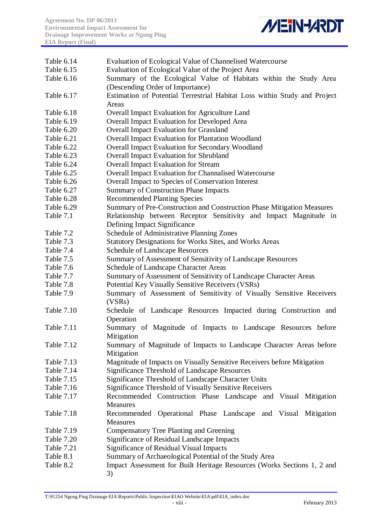

| Table 6.14        | Evaluation of Ecological Value of Channelised Watercourse                                             |
|-------------------|-------------------------------------------------------------------------------------------------------|
| Table 6.15        | Evaluation of Ecological Value of the Project Area                                                    |
| Table 6.16        | Summary of the Ecological Value of Habitats within the Study Area<br>(Descending Order of Importance) |
| Table 6.17        | Estimation of Potential Terrestrial Habitat Loss within Study and Project<br>Areas                    |
| Table 6.18        | Overall Impact Evaluation for Agriculture Land                                                        |
| Table 6.19        | Overall Impact Evaluation for Developed Area                                                          |
| Table 6.20        | <b>Overall Impact Evaluation for Grassland</b>                                                        |
| Table 6.21        | Overall Impact Evaluation for Plantation Woodland                                                     |
| Table 6.22        | Overall Impact Evaluation for Secondary Woodland                                                      |
| Table 6.23        | <b>Overall Impact Evaluation for Shrubland</b>                                                        |
| Table 6.24        | <b>Overall Impact Evaluation for Stream</b>                                                           |
| Table 6.25        | <b>Overall Impact Evaluation for Channalised Watercourse</b>                                          |
| Table 6.26        | Overall Impact to Species of Conservation Interest                                                    |
| Table 6.27        | <b>Summary of Construction Phase Impacts</b>                                                          |
| Table 6.28        | <b>Recommended Planting Species</b>                                                                   |
| Table 6.29        | Summary of Pre-Construction and Construction Phase Mitigation Measures                                |
| Table 7.1         | Relationship between Receptor Sensitivity and Impact Magnitude in                                     |
|                   | Defining Impact Significance                                                                          |
| Table 7.2         | Schedule of Administrative Planning Zones                                                             |
| Table 7.3         | <b>Statutory Designations for Works Sites, and Works Areas</b>                                        |
| Table 7.4         | <b>Schedule of Landscape Resources</b>                                                                |
| Table 7.5         | Summary of Assessment of Sensitivity of Landscape Resources                                           |
| Table 7.6         | Schedule of Landscape Character Areas                                                                 |
| Table 7.7         | Summary of Assessment of Sensitivity of Landscape Character Areas                                     |
| Table 7.8         | Potential Key Visually Sensitive Receivers (VSRs)                                                     |
| Table 7.9         | Summary of Assessment of Sensitivity of Visually Sensitive Receivers                                  |
|                   | (VSRs)                                                                                                |
| Table 7.10        | Schedule of Landscape Resources Impacted during Construction and<br>Operation                         |
| Table 7.11        | Summary of Magnitude of Impacts to Landscape Resources before<br>Mitigation                           |
| Table 7.12        | Summary of Magnitude of Impacts to Landscape Character Areas before                                   |
|                   | Mitigation                                                                                            |
| <b>Table 7.13</b> | Magnitude of Impacts on Visually Sensitive Receivers before Mitigation                                |
| Table 7.14        | Significance Threshold of Landscape Resources                                                         |
| <b>Table 7.15</b> | Significance Threshold of Landscape Character Units                                                   |
| <b>Table 7.16</b> | Significance Threshold of Visually Sensitive Receivers                                                |
| Table 7.17        | Recommended Construction Phase Landscape and Visual Mitigation<br><b>Measures</b>                     |
| Table 7.18        | Recommended Operational Phase Landscape and Visual Mitigation<br><b>Measures</b>                      |
| <b>Table 7.19</b> | Compensatory Tree Planting and Greening                                                               |
| Table 7.20        | Significance of Residual Landscape Impacts                                                            |
| Table 7.21        | <b>Significance of Residual Visual Impacts</b>                                                        |
| Table 8.1         | Summary of Archaeological Potential of the Study Area                                                 |
| Table 8.2         | Impact Assessment for Built Heritage Resources (Works Sections 1, 2 and                               |
|                   | 3)                                                                                                    |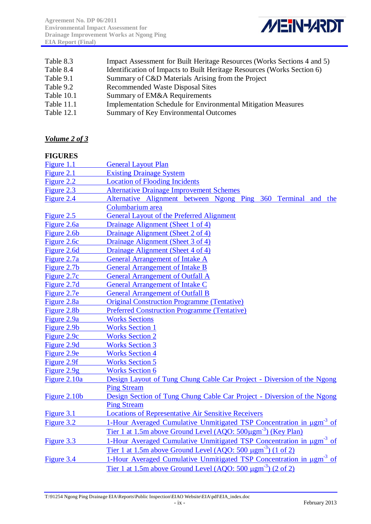

| Table 8.3  | Impact Assessment for Built Heritage Resources (Works Sections 4 and 5) |
|------------|-------------------------------------------------------------------------|
| Table 8.4  | Identification of Impacts to Built Heritage Resources (Works Section 6) |
| Table 9.1  | Summary of C&D Materials Arising from the Project                       |
| Table 9.2  | <b>Recommended Waste Disposal Sites</b>                                 |
| Table 10.1 | Summary of EM&A Requirements                                            |
| Table 11.1 | <b>Implementation Schedule for Environmental Mitigation Measures</b>    |
| Table 12.1 | Summary of Key Environmental Outcomes                                   |
|            |                                                                         |

*Volume 2 of 3*

#### **FIGURES**

| Figure 1.1    | <b>General Layout Plan</b>                                                                   |
|---------------|----------------------------------------------------------------------------------------------|
| Figure 2.1    | <b>Existing Drainage System</b>                                                              |
| Figure 2.2    | <b>Location of Flooding Incidents</b>                                                        |
| Figure 2.3    | <b>Alternative Drainage Improvement Schemes</b>                                              |
| Figure 2.4    | Alternative Alignment between Ngong Ping 360 Terminal and the                                |
|               | Columbarium area                                                                             |
| Figure 2.5    | <b>General Layout of the Preferred Alignment</b>                                             |
| Figure 2.6a   | Drainage Alignment (Sheet 1 of 4)                                                            |
| Figure 2.6b   | Drainage Alignment (Sheet 2 of 4)                                                            |
| Figure 2.6c   | Drainage Alignment (Sheet 3 of 4)                                                            |
| Figure 2.6d   | Drainage Alignment (Sheet 4 of 4)                                                            |
| Figure 2.7a   | <b>General Arrangement of Intake A</b>                                                       |
| Figure 2.7b   | <b>General Arrangement of Intake B</b>                                                       |
| Figure 2.7c   | <b>General Arrangement of Outfall A</b>                                                      |
| Figure 2.7d   | <b>General Arrangement of Intake C</b>                                                       |
| Figure 2.7e   | <b>General Arrangement of Outfall B</b>                                                      |
| Figure 2.8a   | <b>Original Construction Programme (Tentative)</b>                                           |
| Figure 2.8b   | <b>Preferred Construction Programme (Tentative)</b>                                          |
| Figure 2.9a   | <b>Works Sections</b>                                                                        |
| Figure 2.9b   | <b>Works Section 1</b>                                                                       |
| Figure 2.9c   | <b>Works Section 2</b>                                                                       |
| Figure 2.9d   | <b>Works Section 3</b>                                                                       |
| Figure 2.9e   | <b>Works Section 4</b>                                                                       |
| Figure 2.9f   | <b>Works Section 5</b>                                                                       |
| Figure $2.9g$ | <b>Works Section 6</b>                                                                       |
| Figure 2.10a  | Design Layout of Tung Chung Cable Car Project - Diversion of the Ngong                       |
|               | <b>Ping Stream</b>                                                                           |
| Figure 2.10b  | Design Section of Tung Chung Cable Car Project - Diversion of the Ngong                      |
|               | <b>Ping Stream</b>                                                                           |
| Figure 3.1    | <b>Locations of Representative Air Sensitive Receivers</b>                                   |
| Figure 3.2    | 1-Hour Averaged Cumulative Unmitigated TSP Concentration in µgm <sup>-3</sup> of             |
|               | <u>Tier 1 at 1.5m above Ground Level (AQO: 500µgm<sup>-3</sup>) (Key Plan)</u>               |
| Figure 3.3    | 1-Hour Averaged Cumulative Unmitigated TSP Concentration in $\mu$ gm <sup>-3</sup> of        |
|               | <u>Tier 1 at 1.5m above Ground Level (AQO: 500 <math>\mu</math>gm<sup>-3</sup>) (1 of 2)</u> |
| Figure 3.4    | 1-Hour Averaged Cumulative Unmitigated TSP Concentration in $\mu$ gm <sup>-3</sup> of        |
|               | <u>Tier 1 at 1.5m above Ground Level (AQO: 500 <math>\mu</math>gm<sup>-3</sup>) (2 of 2)</u> |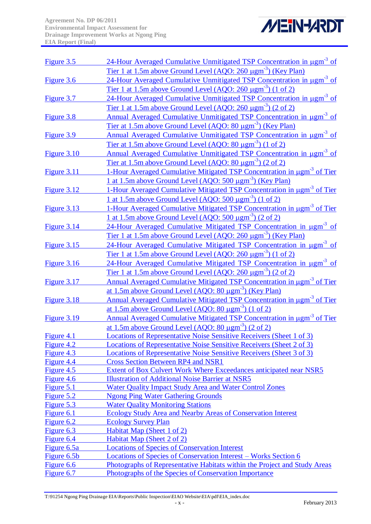

| Figure 3.5  | 24-Hour Averaged Cumulative Unmitigated TSP Concentration in $\mu$ gm <sup>-3</sup> of       |
|-------------|----------------------------------------------------------------------------------------------|
|             | <u>Tier 1 at 1.5m above Ground Level (AQO: 260 µgm<sup>-3</sup>) (Key Plan)</u>              |
| Figure 3.6  | 24-Hour Averaged Cumulative Unmitigated TSP Concentration in $\mu$ gm <sup>-3</sup> of       |
|             | <u>Tier 1 at 1.5m above Ground Level (AQO: 260 <math>\mu</math>gm<sup>-3</sup>) (1 of 2)</u> |
| Figure 3.7  | 24-Hour Averaged Cumulative Unmitigated TSP Concentration in ugm <sup>-3</sup> of            |
|             | <u>Tier 1 at 1.5m above Ground Level (AQO: 260 <math>\mu</math>gm<sup>-3</sup>) (2 of 2)</u> |
| Figure 3.8  | Annual Averaged Cumulative Unmitigated TSP Concentration in $\mu$ gm <sup>-3</sup> of        |
|             | <u>Tier at 1.5m above Ground Level (AQO: 80 µgm<sup>-3</sup>) (Key Plan)</u>                 |
| Figure 3.9  | <b>Annual Averaged Cumulative Unmitigated TSP Concentration in µgm<sup>-3</sup> of</b>       |
|             | <u>Tier at 1.5m above Ground Level (AQO: 80 <math>\mu</math>gm<sup>-3</sup>) (1 of 2)</u>    |
|             | Annual Averaged Cumulative Unmitigated TSP Concentration in $\mu$ gm <sup>-3</sup> of        |
| Figure 3.10 |                                                                                              |
|             | <u>Tier at 1.5m above Ground Level (AQO: 80 <math>\mu</math>gm<sup>-3</sup>) (2 of 2)</u>    |
| Figure 3.11 | 1-Hour Averaged Cumulative Mitigated TSP Concentration in µgm <sup>-3</sup> of Tier          |
|             | 1 at 1.5m above Ground Level (AQO: 500 µgm <sup>-3</sup> ) (Key Plan)                        |
| Figure 3.12 | 1-Hour Averaged Cumulative Mitigated TSP Concentration in ugm <sup>-3</sup> of Tier          |
|             | 1 at 1.5m above Ground Level (AQO: 500 $\mu$ gm <sup>-3</sup> ) (1 of 2)                     |
| Figure 3.13 | 1-Hour Averaged Cumulative Mitigated TSP Concentration in ugm <sup>-3</sup> of Tier          |
|             | <u>1 at 1.5m above Ground Level (AQO: 500 <math>\mu</math>gm<sup>-3</sup>) (2 of 2)</u>      |
| Figure 3.14 | 24-Hour Averaged Cumulative Mitigated TSP Concentration in ugm <sup>-3</sup> of              |
|             | <u>Tier 1 at 1.5m above Ground Level (AQO: 260 µgm<sup>-3</sup>) (Key Plan)</u>              |
| Figure 3.15 | 24-Hour Averaged Cumulative Mitigated TSP Concentration in ugm <sup>-3</sup> of              |
|             | <u>Tier 1 at 1.5m above Ground Level (AQO: 260 <math>\mu</math>gm<sup>-3</sup>) (1 of 2)</u> |
| Figure 3.16 | 24-Hour Averaged Cumulative Mitigated TSP Concentration in ugm <sup>-3</sup> of              |
|             | <u>Tier 1 at 1.5m above Ground Level (AQO: 260 <math>\mu</math>gm<sup>-3</sup>) (2 of 2)</u> |
| Figure 3.17 | <b>Annual Averaged Cumulative Mitigated TSP Concentration in ugm<sup>-3</sup> of Tier</b>    |
|             | <u>at 1.5m above Ground Level (AQO: 80 µgm<sup>-3</sup>) (Key Plan)</u>                      |
| Figure 3.18 | <b>Annual Averaged Cumulative Mitigated TSP Concentration in µgm<sup>-3</sup> of Tier</b>    |
|             | <u>at 1.5m above Ground Level (AQO: 80 <math>\mu</math>gm<sup>-3</sup>) (1 of 2)</u>         |
| Figure 3.19 | Annual Averaged Cumulative Mitigated TSP Concentration in ugm <sup>-3</sup> of Tier          |
|             | <u>at 1.5m above Ground Level (AQO: 80 <math>\mu</math>gm<sup>-3</sup>) (2 of 2)</u>         |
| Figure 4.1  | <b>Locations of Representative Noise Sensitive Receivers (Sheet 1 of 3)</b>                  |
| Figure 4.2  | Locations of Representative Noise Sensitive Receivers (Sheet 2 of 3)                         |
| Figure 4.3  | <b>Locations of Representative Noise Sensitive Receivers (Sheet 3 of 3)</b>                  |
| Figure 4.4  | <b>Cross Section Between RP4 and NSR1</b>                                                    |
| Figure 4.5  | Extent of Box Culvert Work Where Exceedances anticipated near NSR5                           |
| Figure 4.6  | <b>Illustration of Additional Noise Barrier at NSR5</b>                                      |
| Figure 5.1  | Water Quality Impact Study Area and Water Control Zones                                      |
| Figure 5.2  | <b>Ngong Ping Water Gathering Grounds</b>                                                    |
| Figure 5.3  | <b>Water Quality Monitoring Stations</b>                                                     |
| Figure 6.1  | Ecology Study Area and Nearby Areas of Conservation Interest                                 |
| Figure 6.2  | <b>Ecology Survey Plan</b>                                                                   |
| Figure 6.3  | Habitat Map (Sheet 1 of 2)                                                                   |
| Figure 6.4  | Habitat Map (Sheet 2 of 2)                                                                   |
| Figure 6.5a | <b>Locations of Species of Conservation Interest</b>                                         |
| Figure 6.5b | Locations of Species of Conservation Interest – Works Section 6                              |
| Figure 6.6  | Photographs of Representative Habitats within the Project and Study Areas                    |
| Figure 6.7  | Photographs of the Species of Conservation Importance                                        |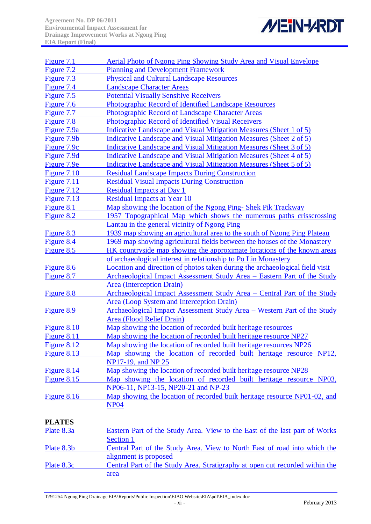

| Figure 7.1    | <b>Aerial Photo of Ngong Ping Showing Study Area and Visual Envelope</b>     |
|---------------|------------------------------------------------------------------------------|
| Figure 7.2    | <b>Planning and Development Framework</b>                                    |
| Figure 7.3    | <b>Physical and Cultural Landscape Resources</b>                             |
| Figure 7.4    | <b>Landscape Character Areas</b>                                             |
| Figure 7.5    | <b>Potential Visually Sensitive Receivers</b>                                |
| Figure 7.6    | Photographic Record of Identified Landscape Resources                        |
| Figure 7.7    | Photographic Record of Landscape Character Areas                             |
| Figure 7.8    | Photographic Record of Identified Visual Receivers                           |
| Figure 7.9a   | Indicative Landscape and Visual Mitigation Measures (Sheet 1 of 5)           |
| Figure 7.9b   | Indicative Landscape and Visual Mitigation Measures (Sheet 2 of 5)           |
| Figure 7.9c   | Indicative Landscape and Visual Mitigation Measures (Sheet 3 of 5)           |
| Figure 7.9d   | Indicative Landscape and Visual Mitigation Measures (Sheet 4 of 5)           |
| Figure 7.9e   | Indicative Landscape and Visual Mitigation Measures (Sheet 5 of 5)           |
| Figure $7.10$ | <b>Residual Landscape Impacts During Construction</b>                        |
| Figure 7.11   | <b>Residual Visual Impacts During Construction</b>                           |
| Figure 7.12   | <b>Residual Impacts at Day 1</b>                                             |
| Figure 7.13   | <b>Residual Impacts at Year 10</b>                                           |
| Figure 8.1    | Map showing the location of the Ngong Ping-Shek Pik Trackway                 |
| Figure 8.2    | 1957 Topographical Map which shows the numerous paths crisscrossing          |
|               | Lantau in the general vicinity of Ngong Ping                                 |
| Figure 8.3    | 1939 map showing an agricultural area to the south of Ngong Ping Plateau     |
| Figure 8.4    | 1969 map showing agricultural fields between the houses of the Monastery     |
| Figure 8.5    | HK countryside map showing the approximate locations of the known areas      |
|               | of archaeological interest in relationship to Po Lin Monastery               |
| Figure 8.6    | Location and direction of photos taken during the archaeological field visit |
| Figure 8.7    | Archaeological Impact Assessment Study Area - Eastern Part of the Study      |
|               | <b>Area</b> (Interception Drain)                                             |
| Figure 8.8    | Archaeological Impact Assessment Study Area - Central Part of the Study      |
|               | <b>Area (Loop System and Interception Drain)</b>                             |
| Figure 8.9    | Archaeological Impact Assessment Study Area - Western Part of the Study      |
|               | Area (Flood Relief Drain)                                                    |
| Figure 8.10   | Map showing the location of recorded built heritage resources                |
| Figure 8.11   | Map showing the location of recorded built heritage resource NP27            |
| Figure 8.12   | Map showing the location of recorded built heritage resources NP26           |
| Figure 8.13   | Map showing the location of recorded built heritage resource NP12,           |
|               | NP17-19, and NP 25                                                           |
| Figure 8.14   | Map showing the location of recorded built heritage resource NP28            |
| Figure 8.15   | Map showing the location of recorded built heritage resource NP03,           |
|               | NP06-11, NP13-15, NP20-21 and NP-23                                          |
| Figure 8.16   | Map showing the location of recorded built heritage resource NP01-02, and    |
|               | <b>NP04</b>                                                                  |
|               |                                                                              |

### **PLATES**

| Plate 8.3a | Eastern Part of the Study Area. View to the East of the last part of Works   |
|------------|------------------------------------------------------------------------------|
|            | Section 1                                                                    |
| Plate 8.3b | Central Part of the Study Area. View to North East of road into which the    |
|            | alignment is proposed                                                        |
| Plate 8.3c | Central Part of the Study Area. Stratigraphy at open cut recorded within the |
|            | area                                                                         |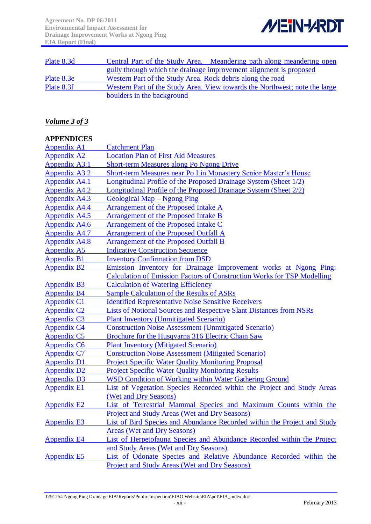

| Plate 8.3d           | Central Part of the Study Area. Meandering path along meandering open                                                                                     |
|----------------------|-----------------------------------------------------------------------------------------------------------------------------------------------------------|
|                      | gully through which the drainage improvement alignment is proposed                                                                                        |
| Plate 8.3e           | Western Part of the Study Area. Rock debris along the road                                                                                                |
| Plate 8.3f           | Western Part of the Study Area. View towards the Northwest; note the large                                                                                |
|                      | boulders in the background                                                                                                                                |
|                      |                                                                                                                                                           |
| Volume 3 of 3        |                                                                                                                                                           |
|                      |                                                                                                                                                           |
| <b>APPENDICES</b>    |                                                                                                                                                           |
| <b>Appendix A1</b>   | <b>Catchment Plan</b>                                                                                                                                     |
| <b>Appendix A2</b>   | <b>Location Plan of First Aid Measures</b>                                                                                                                |
| Appendix A3.1        | <b>Short-term Measures along Po Ngong Drive</b>                                                                                                           |
| <b>Appendix A3.2</b> | Short-term Measures near Po Lin Monastery Senior Master's House                                                                                           |
| <b>Appendix A4.1</b> | Longitudinal Profile of the Proposed Drainage System (Sheet 1/2)                                                                                          |
| <b>Appendix A4.2</b> | Longitudinal Profile of the Proposed Drainage System (Sheet 2/2)                                                                                          |
| <b>Appendix A4.3</b> | Geological Map – Ngong Ping                                                                                                                               |
| Appendix A4.4        | <b>Arrangement of the Proposed Intake A</b>                                                                                                               |
| <b>Appendix A4.5</b> | Arrangement of the Proposed Intake B                                                                                                                      |
| Appendix A4.6        | Arrangement of the Proposed Intake C                                                                                                                      |
| <b>Appendix A4.7</b> | <b>Arrangement of the Proposed Outfall A</b>                                                                                                              |
| <b>Appendix A4.8</b> | <b>Arrangement of the Proposed Outfall B</b>                                                                                                              |
| <b>Appendix A5</b>   | <b>Indicative Construction Sequence</b>                                                                                                                   |
| <b>Appendix B1</b>   | <b>Inventory Confirmation from DSD</b>                                                                                                                    |
| <b>Appendix B2</b>   | <u>Emission Inventory for Drainage Improvement works at Ngong Ping:</u><br><b>Calculation of Emission Factors of Construction Works for TSP Modelling</b> |
| <b>Appendix B3</b>   | <b>Calculation of Watering Efficiency</b>                                                                                                                 |
| <b>Appendix B4</b>   | <b>Sample Calculation of the Results of ASRs</b>                                                                                                          |
| <b>Appendix C1</b>   | <b>Identified Representative Noise Sensitive Receivers</b>                                                                                                |
| <b>Appendix C2</b>   | <b>Lists of Notional Sources and Respective Slant Distances from NSRs</b>                                                                                 |
| <b>Appendix C3</b>   | <b>Plant Inventory (Unmitigated Scenario)</b>                                                                                                             |
| <b>Appendix C4</b>   | <b>Construction Noise Assessment (Unmitigated Scenario)</b>                                                                                               |
| <b>Appendix C5</b>   | Brochure for the Husqvarna 316 Electric Chain Saw                                                                                                         |
| <b>Appendix C6</b>   | <b>Plant Inventory (Mitigated Scenario)</b>                                                                                                               |
| <b>Appendix C7</b>   | <b>Construction Noise Assessment (Mitigated Scenario)</b>                                                                                                 |
| <b>Appendix D1</b>   | <b>Project Specific Water Quality Monitoring Proposal</b>                                                                                                 |
| <b>Appendix D2</b>   | <b>Project Specific Water Quality Monitoring Results</b>                                                                                                  |
| <b>Appendix D3</b>   | WSD Condition of Working within Water Gathering Ground                                                                                                    |
| <b>Appendix E1</b>   | List of Vegetation Species Recorded within the Project and Study Areas                                                                                    |
|                      | (Wet and Dry Seasons)                                                                                                                                     |
| <b>Appendix E2</b>   | List of Terrestrial Mammal Species and Maximum Counts within the                                                                                          |
|                      | Project and Study Areas (Wet and Dry Seasons)                                                                                                             |
| <b>Appendix E3</b>   | List of Bird Species and Abundance Recorded within the Project and Study                                                                                  |
|                      | <b>Areas (Wet and Dry Seasons)</b>                                                                                                                        |
| <b>Appendix E4</b>   | List of Herpetofauna Species and Abundance Recorded within the Project                                                                                    |
|                      | and Study Areas (Wet and Dry Seasons)                                                                                                                     |
| <b>Appendix E5</b>   | List of Odonate Species and Relative Abundance Recorded within the                                                                                        |
|                      | Project and Study Areas (Wet and Dry Seasons)                                                                                                             |